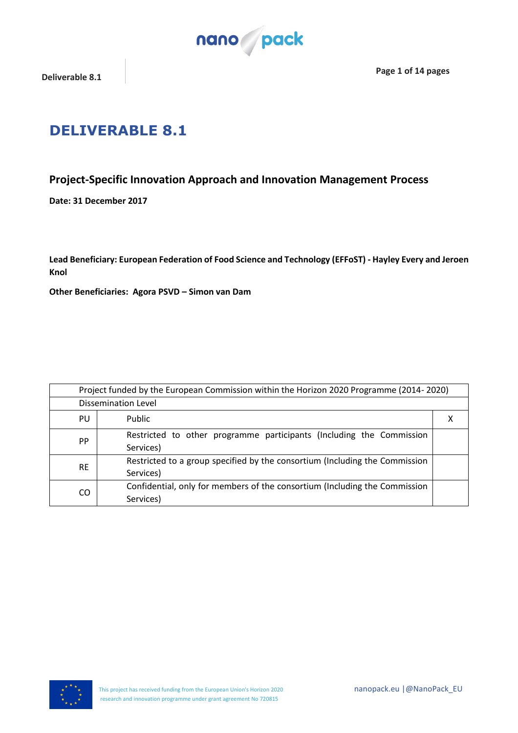

## **DELIVERABLE 8.1**

### **Project-Specific Innovation Approach and Innovation Management Process**

**Date: 31 December 2017**

**Lead Beneficiary: European Federation of Food Science and Technology (EFFoST) - Hayley Every and Jeroen Knol**

**Other Beneficiaries: Agora PSVD – Simon van Dam**

| Project funded by the European Commission within the Horizon 2020 Programme (2014-2020) |                                                                                          |   |
|-----------------------------------------------------------------------------------------|------------------------------------------------------------------------------------------|---|
| <b>Dissemination Level</b>                                                              |                                                                                          |   |
| PU                                                                                      | Public                                                                                   | х |
| PP                                                                                      | Restricted to other programme participants (Including the Commission<br>Services)        |   |
| <b>RE</b>                                                                               | Restricted to a group specified by the consortium (Including the Commission<br>Services) |   |
| CO                                                                                      | Confidential, only for members of the consortium (Including the Commission<br>Services)  |   |

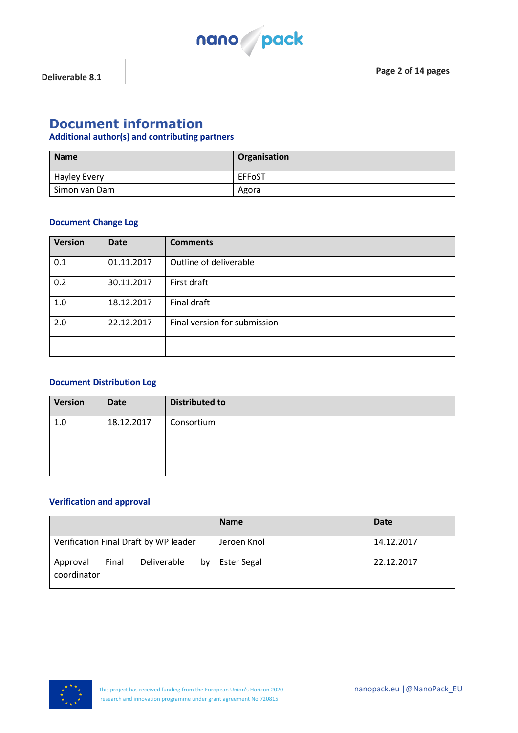

### **Document information**

#### **Additional author(s) and contributing partners**

| <b>Name</b>         | Organisation |
|---------------------|--------------|
| <b>Hayley Every</b> | EFFoST       |
| Simon van Dam       | Agora        |

#### **Document Change Log**

| <b>Version</b> | <b>Date</b> | <b>Comments</b>              |
|----------------|-------------|------------------------------|
| 0.1            | 01.11.2017  | Outline of deliverable       |
| 0.2            | 30.11.2017  | First draft                  |
| 1.0            | 18.12.2017  | Final draft                  |
| 2.0            | 22.12.2017  | Final version for submission |
|                |             |                              |

#### **Document Distribution Log**

| Version | <b>Date</b> | <b>Distributed to</b> |
|---------|-------------|-----------------------|
| 1.0     | 18.12.2017  | Consortium            |
|         |             |                       |
|         |             |                       |

#### **Verification and approval**

|                                                       | <b>Name</b>        | <b>Date</b> |
|-------------------------------------------------------|--------------------|-------------|
| Verification Final Draft by WP leader                 | Jeroen Knol        | 14.12.2017  |
| bv<br>Deliverable<br>Final<br>Approval<br>coordinator | <b>Ester Segal</b> | 22.12.2017  |

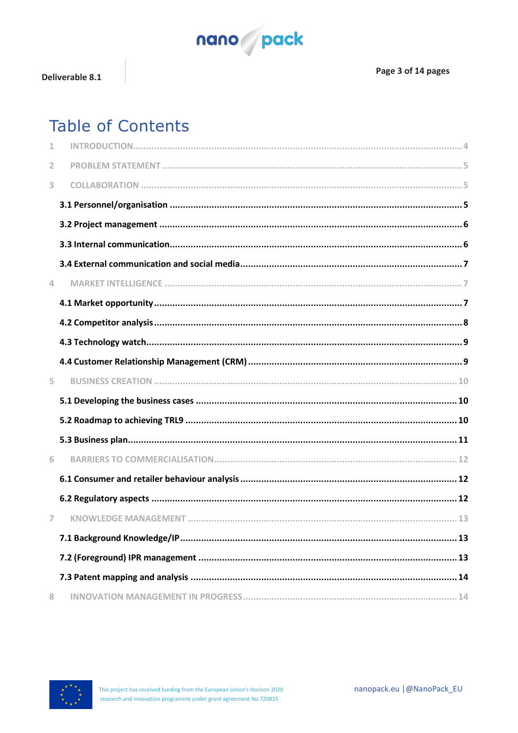

# **Table of Contents**

| $\mathbf{1}$ |  |
|--------------|--|
| 2            |  |
| 3            |  |
|              |  |
|              |  |
|              |  |
|              |  |
| 4            |  |
|              |  |
|              |  |
|              |  |
|              |  |
| 5.           |  |
|              |  |
|              |  |
|              |  |
| 6            |  |
|              |  |
|              |  |
| 7            |  |
|              |  |
|              |  |
|              |  |
| 8            |  |

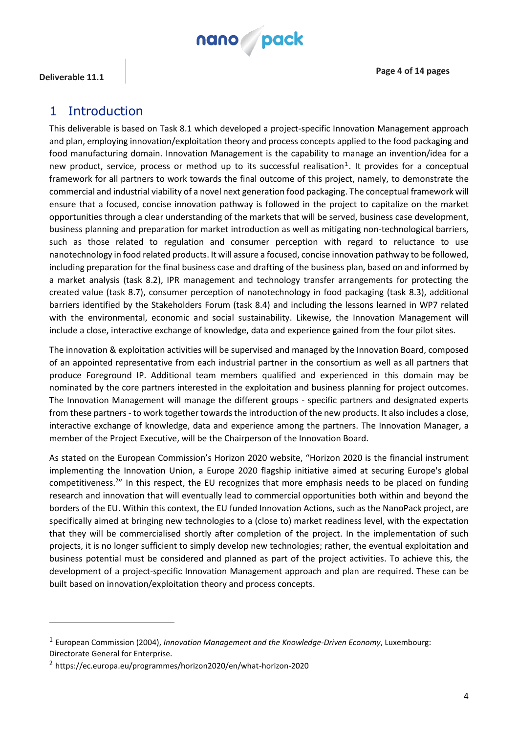

**Deliverable 11.1 Page 4 of 14 pages**

 $\overline{a}$ 

### <span id="page-3-0"></span>1 Introduction

This deliverable is based on Task 8.1 which developed a project-specific Innovation Management approach and plan, employing innovation/exploitation theory and process concepts applied to the food packaging and food manufacturing domain. Innovation Management is the capability to manage an invention/idea for a new product, service, process or method up to its successful realisation<sup>1</sup>. It provides for a conceptual framework for all partners to work towards the final outcome of this project, namely, to demonstrate the commercial and industrial viability of a novel next generation food packaging. The conceptual framework will ensure that a focused, concise innovation pathway is followed in the project to capitalize on the market opportunities through a clear understanding of the markets that will be served, business case development, business planning and preparation for market introduction as well as mitigating non-technological barriers, such as those related to regulation and consumer perception with regard to reluctance to use nanotechnology in food related products. It will assure a focused, concise innovation pathway to be followed, including preparation for the final business case and drafting of the business plan, based on and informed by a market analysis (task 8.2), IPR management and technology transfer arrangements for protecting the created value (task 8.7), consumer perception of nanotechnology in food packaging (task 8.3), additional barriers identified by the Stakeholders Forum (task 8.4) and including the lessons learned in WP7 related with the environmental, economic and social sustainability. Likewise, the Innovation Management will include a close, interactive exchange of knowledge, data and experience gained from the four pilot sites.

The innovation & exploitation activities will be supervised and managed by the Innovation Board, composed of an appointed representative from each industrial partner in the consortium as well as all partners that produce Foreground IP. Additional team members qualified and experienced in this domain may be nominated by the core partners interested in the exploitation and business planning for project outcomes. The Innovation Management will manage the different groups - specific partners and designated experts from these partners - to work together towards the introduction of the new products. It also includes a close, interactive exchange of knowledge, data and experience among the partners. The Innovation Manager, a member of the Project Executive, will be the Chairperson of the Innovation Board.

As stated on the European Commission's Horizon 2020 website, "Horizon 2020 is the financial instrument implementing the Innovation Union, a Europe 2020 flagship initiative aimed at securing Europe's global competitiveness.<sup>2</sup>" In this respect, the EU recognizes that more emphasis needs to be placed on funding research and innovation that will eventually lead to commercial opportunities both within and beyond the borders of the EU. Within this context, the EU funded Innovation Actions, such as the NanoPack project, are specifically aimed at bringing new technologies to a (close to) market readiness level, with the expectation that they will be commercialised shortly after completion of the project. In the implementation of such projects, it is no longer sufficient to simply develop new technologies; rather, the eventual exploitation and business potential must be considered and planned as part of the project activities. To achieve this, the development of a project-specific Innovation Management approach and plan are required. These can be built based on innovation/exploitation theory and process concepts.

<sup>1</sup> European Commission (2004), *Innovation Management and the Knowledge-Driven Economy*, Luxembourg: Directorate General for Enterprise.

<sup>2</sup> https://ec.europa.eu/programmes/horizon2020/en/what-horizon-2020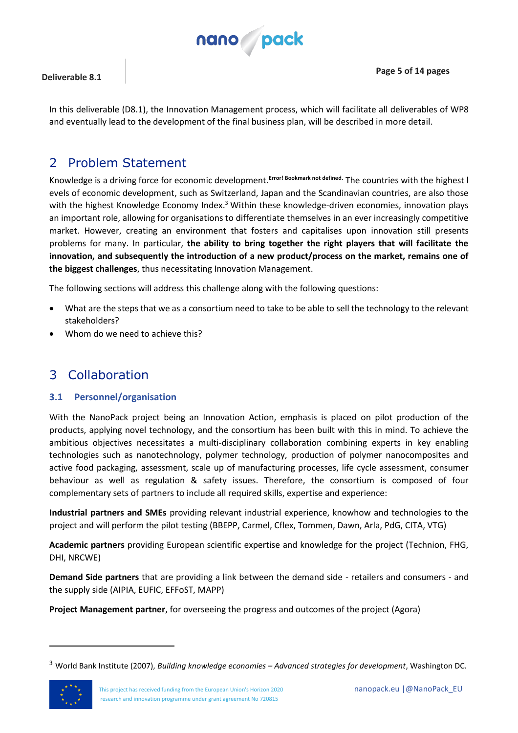

In this deliverable (D8.1), the Innovation Management process, which will facilitate all deliverables of WP8 and eventually lead to the development of the final business plan, will be described in more detail.

### <span id="page-4-0"></span>2 Problem Statement

Knowledge is a driving force for economic development.**Error! Bookmark not defined.** The countries with the highest l evels of economic development, such as Switzerland, Japan and the Scandinavian countries, are also those with the highest Knowledge Economy Index.<sup>3</sup> Within these knowledge-driven economies, innovation plays an important role, allowing for organisations to differentiate themselves in an ever increasingly competitive market. However, creating an environment that fosters and capitalises upon innovation still presents problems for many. In particular, **the ability to bring together the right players that will facilitate the innovation, and subsequently the introduction of a new product/process on the market, remains one of the biggest challenges**, thus necessitating Innovation Management.

The following sections will address this challenge along with the following questions:

- What are the steps that we as a consortium need to take to be able to sell the technology to the relevant stakeholders?
- Whom do we need to achieve this?

### <span id="page-4-1"></span>3 Collaboration

#### <span id="page-4-2"></span>**3.1 Personnel/organisation**

With the NanoPack project being an Innovation Action, emphasis is placed on pilot production of the products, applying novel technology, and the consortium has been built with this in mind. To achieve the ambitious objectives necessitates a multi-disciplinary collaboration combining experts in key enabling technologies such as nanotechnology, polymer technology, production of polymer nanocomposites and active food packaging, assessment, scale up of manufacturing processes, life cycle assessment, consumer behaviour as well as regulation & safety issues. Therefore, the consortium is composed of four complementary sets of partners to include all required skills, expertise and experience:

**Industrial partners and SMEs** providing relevant industrial experience, knowhow and technologies to the project and will perform the pilot testing (BBEPP, Carmel, Cflex, Tommen, Dawn, Arla, PdG, CITA, VTG)

**Academic partners** providing European scientific expertise and knowledge for the project (Technion, FHG, DHI, NRCWE)

**Demand Side partners** that are providing a link between the demand side - retailers and consumers - and the supply side (AIPIA, EUFIC, EFFoST, MAPP)

**Project Management partner**, for overseeing the progress and outcomes of the project (Agora)

<sup>3</sup> World Bank Institute (2007), *Building knowledge economies – Advanced strategies for development*, Washington DC.



 $\overline{a}$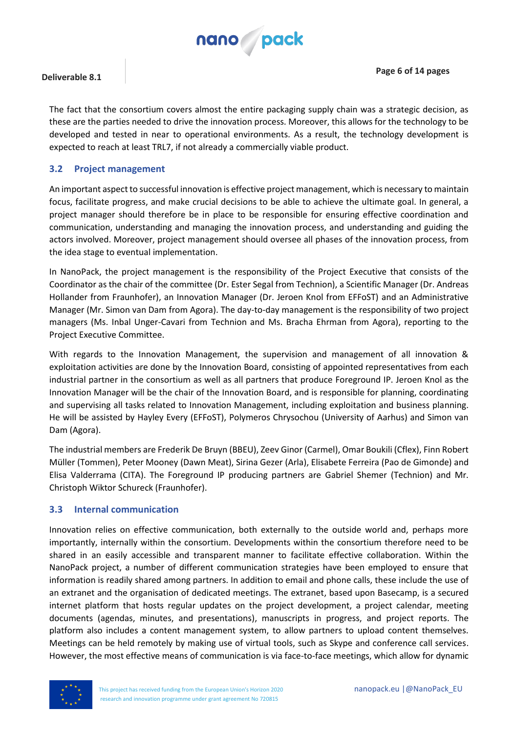

The fact that the consortium covers almost the entire packaging supply chain was a strategic decision, as these are the parties needed to drive the innovation process. Moreover, this allows for the technology to be developed and tested in near to operational environments. As a result, the technology development is expected to reach at least TRL7, if not already a commercially viable product.

#### <span id="page-5-0"></span>**3.2 Project management**

An important aspect to successful innovation is effective project management, which is necessary to maintain focus, facilitate progress, and make crucial decisions to be able to achieve the ultimate goal. In general, a project manager should therefore be in place to be responsible for ensuring effective coordination and communication, understanding and managing the innovation process, and understanding and guiding the actors involved. Moreover, project management should oversee all phases of the innovation process, from the idea stage to eventual implementation.

In NanoPack, the project management is the responsibility of the Project Executive that consists of the Coordinator as the chair of the committee (Dr. Ester Segal from Technion), a Scientific Manager (Dr. Andreas Hollander from Fraunhofer), an Innovation Manager (Dr. Jeroen Knol from EFFoST) and an Administrative Manager (Mr. Simon van Dam from Agora). The day-to-day management is the responsibility of two project managers (Ms. Inbal Unger-Cavari from Technion and Ms. Bracha Ehrman from Agora), reporting to the Project Executive Committee.

With regards to the Innovation Management, the supervision and management of all innovation & exploitation activities are done by the Innovation Board, consisting of appointed representatives from each industrial partner in the consortium as well as all partners that produce Foreground IP. Jeroen Knol as the Innovation Manager will be the chair of the Innovation Board, and is responsible for planning, coordinating and supervising all tasks related to Innovation Management, including exploitation and business planning. He will be assisted by Hayley Every (EFFoST), Polymeros Chrysochou (University of Aarhus) and Simon van Dam (Agora).

The industrial members are Frederik De Bruyn (BBEU), Zeev Ginor (Carmel), Omar Boukili (Cflex), Finn Robert Müller (Tommen), Peter Mooney (Dawn Meat), Sirina Gezer (Arla), Elisabete Ferreira (Pao de Gimonde) and Elisa Valderrama (CITA). The Foreground IP producing partners are Gabriel Shemer (Technion) and Mr. Christoph Wiktor Schureck (Fraunhofer).

#### <span id="page-5-1"></span>**3.3 Internal communication**

Innovation relies on effective communication, both externally to the outside world and, perhaps more importantly, internally within the consortium. Developments within the consortium therefore need to be shared in an easily accessible and transparent manner to facilitate effective collaboration. Within the NanoPack project, a number of different communication strategies have been employed to ensure that information is readily shared among partners. In addition to email and phone calls, these include the use of an extranet and the organisation of dedicated meetings. The extranet, based upon Basecamp, is a secured internet platform that hosts regular updates on the project development, a project calendar, meeting documents (agendas, minutes, and presentations), manuscripts in progress, and project reports. The platform also includes a content management system, to allow partners to upload content themselves. Meetings can be held remotely by making use of virtual tools, such as Skype and conference call services. However, the most effective means of communication is via face-to-face meetings, which allow for dynamic

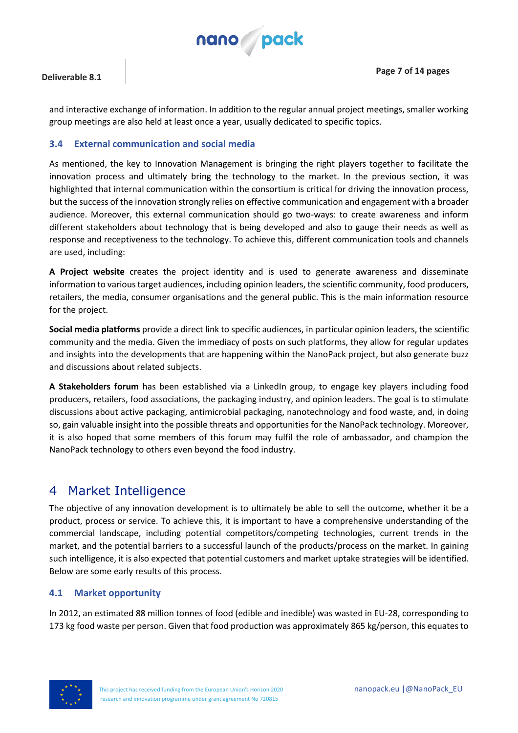

and interactive exchange of information. In addition to the regular annual project meetings, smaller working group meetings are also held at least once a year, usually dedicated to specific topics.

#### <span id="page-6-0"></span>**3.4 External communication and social media**

As mentioned, the key to Innovation Management is bringing the right players together to facilitate the innovation process and ultimately bring the technology to the market. In the previous section, it was highlighted that internal communication within the consortium is critical for driving the innovation process, but the success of the innovation strongly relies on effective communication and engagement with a broader audience. Moreover, this external communication should go two-ways: to create awareness and inform different stakeholders about technology that is being developed and also to gauge their needs as well as response and receptiveness to the technology. To achieve this, different communication tools and channels are used, including:

**A Project website** creates the project identity and is used to generate awareness and disseminate information to various target audiences, including opinion leaders, the scientific community, food producers, retailers, the media, consumer organisations and the general public. This is the main information resource for the project.

**Social media platforms** provide a direct link to specific audiences, in particular opinion leaders, the scientific community and the media. Given the immediacy of posts on such platforms, they allow for regular updates and insights into the developments that are happening within the NanoPack project, but also generate buzz and discussions about related subjects.

**A Stakeholders forum** has been established via a LinkedIn group, to engage key players including food producers, retailers, food associations, the packaging industry, and opinion leaders. The goal is to stimulate discussions about active packaging, antimicrobial packaging, nanotechnology and food waste, and, in doing so, gain valuable insight into the possible threats and opportunities for the NanoPack technology. Moreover, it is also hoped that some members of this forum may fulfil the role of ambassador, and champion the NanoPack technology to others even beyond the food industry.

### <span id="page-6-1"></span>4 Market Intelligence

The objective of any innovation development is to ultimately be able to sell the outcome, whether it be a product, process or service. To achieve this, it is important to have a comprehensive understanding of the commercial landscape, including potential competitors/competing technologies, current trends in the market, and the potential barriers to a successful launch of the products/process on the market. In gaining such intelligence, it is also expected that potential customers and market uptake strategies will be identified. Below are some early results of this process.

#### <span id="page-6-2"></span>**4.1 Market opportunity**

In 2012, an estimated 88 million tonnes of food (edible and inedible) was wasted in EU-28, corresponding to 173 kg food waste per person. Given that food production was approximately 865 kg/person, this equates to

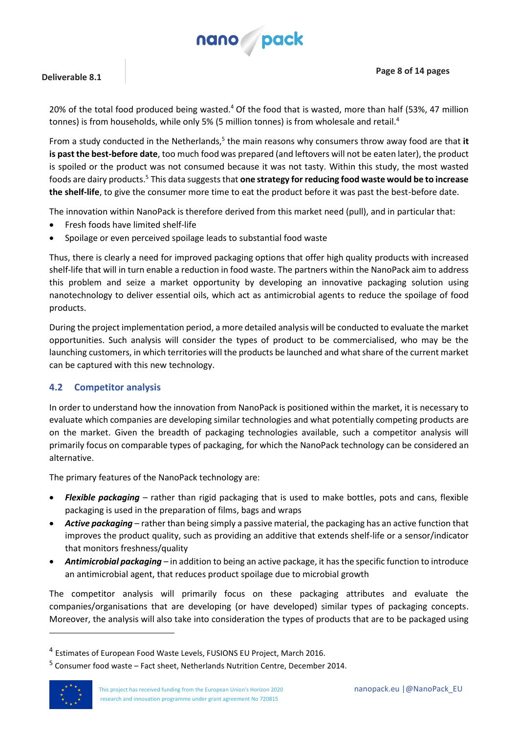<span id="page-7-1"></span>

**Page 8 of 14 pages**

#### **Deliverable 8.1**

20% of the total food produced being wasted.<sup>4</sup> Of the food that is wasted, more than half (53%, 47 million tonnes) is from households, while only 5% (5 million tonnes) is from wholesale and retail.<sup>[4](#page-7-1)</sup>

From a study conducted in the Netherland[s,](#page-7-2)<sup>5</sup> the main reasons why consumers throw away food are that i**t is past the best-before date**, too much food was prepared (and leftovers will not be eaten later), the product is spoiled or the product was not consumed because it was not tasty. Within this study, the most wasted foods are dairy products.<sup>5</sup> This data suggests that **one strategy for reducing food waste would be to increase the shelf-life**, to give the consumer more time to eat the product before it was past the best-before date.

<span id="page-7-2"></span>The innovation within NanoPack is therefore derived from this market need (pull), and in particular that:

- Fresh foods have limited shelf-life
- Spoilage or even perceived spoilage leads to substantial food waste

Thus, there is clearly a need for improved packaging options that offer high quality products with increased shelf-life that will in turn enable a reduction in food waste. The partners within the NanoPack aim to address this problem and seize a market opportunity by developing an innovative packaging solution using nanotechnology to deliver essential oils, which act as antimicrobial agents to reduce the spoilage of food products.

During the project implementation period, a more detailed analysis will be conducted to evaluate the market opportunities. Such analysis will consider the types of product to be commercialised, who may be the launching customers, in which territories will the products be launched and what share of the current market can be captured with this new technology.

#### <span id="page-7-0"></span>**4.2 Competitor analysis**

In order to understand how the innovation from NanoPack is positioned within the market, it is necessary to evaluate which companies are developing similar technologies and what potentially competing products are on the market. Given the breadth of packaging technologies available, such a competitor analysis will primarily focus on comparable types of packaging, for which the NanoPack technology can be considered an alternative.

The primary features of the NanoPack technology are:

- *Flexible packaging* rather than rigid packaging that is used to make bottles, pots and cans, flexible packaging is used in the preparation of films, bags and wraps
- *Active packaging* rather than being simply a passive material, the packaging has an active function that improves the product quality, such as providing an additive that extends shelf-life or a sensor/indicator that monitors freshness/quality
- *Antimicrobial packaging* in addition to being an active package, it has the specific function to introduce an antimicrobial agent, that reduces product spoilage due to microbial growth

The competitor analysis will primarily focus on these packaging attributes and evaluate the companies/organisations that are developing (or have developed) similar types of packaging concepts. Moreover, the analysis will also take into consideration the types of products that are to be packaged using

<sup>5</sup> Consumer food waste – Fact sheet, Netherlands Nutrition Centre, December 2014.



 $\overline{a}$ 

<sup>&</sup>lt;sup>4</sup> Estimates of European Food Waste Levels, FUSIONS EU Project, March 2016.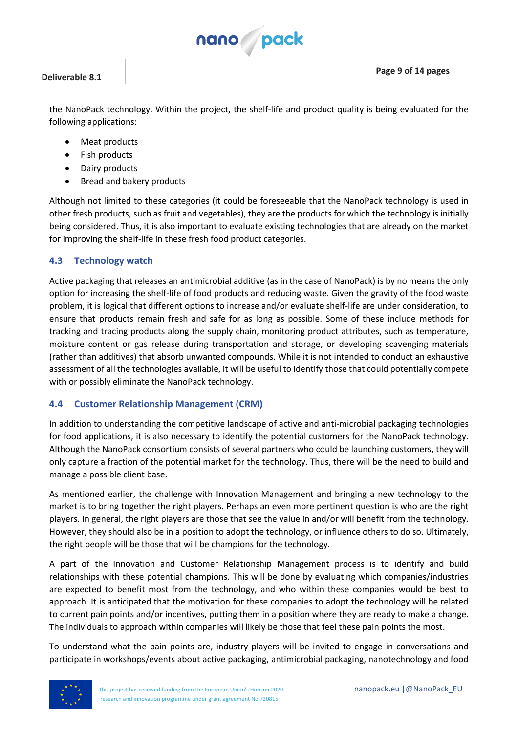

**Page 9 of 14 pages**

the NanoPack technology. Within the project, the shelf-life and product quality is being evaluated for the following applications:

- Meat products
- Fish products
- Dairy products
- Bread and bakery products

Although not limited to these categories (it could be foreseeable that the NanoPack technology is used in other fresh products, such as fruit and vegetables), they are the products for which the technology is initially being considered. Thus, it is also important to evaluate existing technologies that are already on the market for improving the shelf-life in these fresh food product categories.

#### <span id="page-8-0"></span>**4.3 Technology watch**

Active packaging that releases an antimicrobial additive (as in the case of NanoPack) is by no means the only option for increasing the shelf-life of food products and reducing waste. Given the gravity of the food waste problem, it is logical that different options to increase and/or evaluate shelf-life are under consideration, to ensure that products remain fresh and safe for as long as possible. Some of these include methods for tracking and tracing products along the supply chain, monitoring product attributes, such as temperature, moisture content or gas release during transportation and storage, or developing scavenging materials (rather than additives) that absorb unwanted compounds. While it is not intended to conduct an exhaustive assessment of all the technologies available, it will be useful to identify those that could potentially compete with or possibly eliminate the NanoPack technology.

#### <span id="page-8-1"></span>**4.4 Customer Relationship Management (CRM)**

In addition to understanding the competitive landscape of active and anti-microbial packaging technologies for food applications, it is also necessary to identify the potential customers for the NanoPack technology. Although the NanoPack consortium consists of several partners who could be launching customers, they will only capture a fraction of the potential market for the technology. Thus, there will be the need to build and manage a possible client base.

As mentioned earlier, the challenge with Innovation Management and bringing a new technology to the market is to bring together the right players. Perhaps an even more pertinent question is who are the right players. In general, the right players are those that see the value in and/or will benefit from the technology. However, they should also be in a position to adopt the technology, or influence others to do so. Ultimately, the right people will be those that will be champions for the technology.

A part of the Innovation and Customer Relationship Management process is to identify and build relationships with these potential champions. This will be done by evaluating which companies/industries are expected to benefit most from the technology, and who within these companies would be best to approach. It is anticipated that the motivation for these companies to adopt the technology will be related to current pain points and/or incentives, putting them in a position where they are ready to make a change. The individuals to approach within companies will likely be those that feel these pain points the most.

To understand what the pain points are, industry players will be invited to engage in conversations and participate in workshops/events about active packaging, antimicrobial packaging, nanotechnology and food

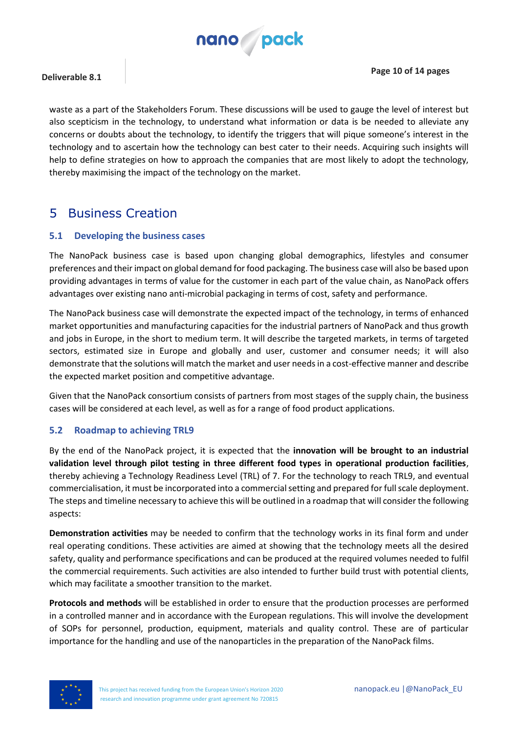

waste as a part of the Stakeholders Forum. These discussions will be used to gauge the level of interest but also scepticism in the technology, to understand what information or data is be needed to alleviate any concerns or doubts about the technology, to identify the triggers that will pique someone's interest in the technology and to ascertain how the technology can best cater to their needs. Acquiring such insights will help to define strategies on how to approach the companies that are most likely to adopt the technology, thereby maximising the impact of the technology on the market.

### <span id="page-9-0"></span>5 Business Creation

#### <span id="page-9-1"></span>**5.1 Developing the business cases**

The NanoPack business case is based upon changing global demographics, lifestyles and consumer preferences and their impact on global demand for food packaging. The business case will also be based upon providing advantages in terms of value for the customer in each part of the value chain, as NanoPack offers advantages over existing nano anti-microbial packaging in terms of cost, safety and performance.

The NanoPack business case will demonstrate the expected impact of the technology, in terms of enhanced market opportunities and manufacturing capacities for the industrial partners of NanoPack and thus growth and jobs in Europe, in the short to medium term. It will describe the targeted markets, in terms of targeted sectors, estimated size in Europe and globally and user, customer and consumer needs; it will also demonstrate that the solutions will match the market and user needs in a cost-effective manner and describe the expected market position and competitive advantage.

Given that the NanoPack consortium consists of partners from most stages of the supply chain, the business cases will be considered at each level, as well as for a range of food product applications.

#### <span id="page-9-2"></span>**5.2 Roadmap to achieving TRL9**

By the end of the NanoPack project, it is expected that the **innovation will be brought to an industrial validation level through pilot testing in three different food types in operational production facilities**, thereby achieving a Technology Readiness Level (TRL) of 7. For the technology to reach TRL9, and eventual commercialisation, it must be incorporated into a commercial setting and prepared for full scale deployment. The steps and timeline necessary to achieve this will be outlined in a roadmap that will consider the following aspects:

**Demonstration activities** may be needed to confirm that the technology works in its final form and under real operating conditions. These activities are aimed at showing that the technology meets all the desired safety, quality and performance specifications and can be produced at the required volumes needed to fulfil the commercial requirements. Such activities are also intended to further build trust with potential clients, which may facilitate a smoother transition to the market.

**Protocols and methods** will be established in order to ensure that the production processes are performed in a controlled manner and in accordance with the European regulations. This will involve the development of SOPs for personnel, production, equipment, materials and quality control. These are of particular importance for the handling and use of the nanoparticles in the preparation of the NanoPack films.

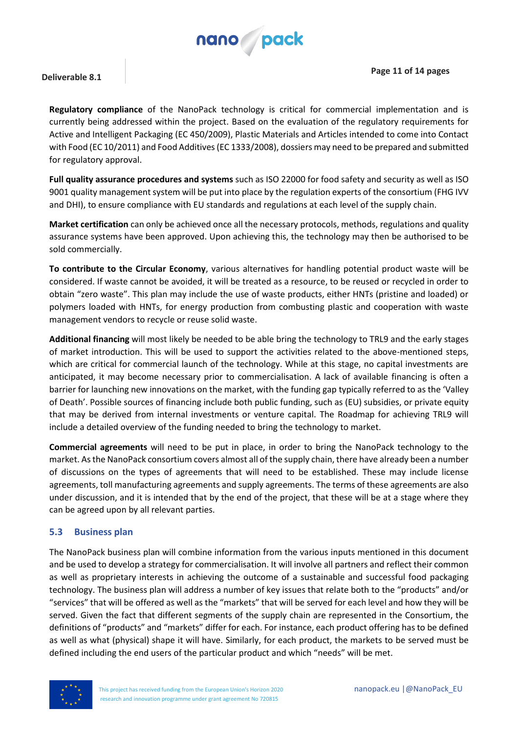

**Regulatory compliance** of the NanoPack technology is critical for commercial implementation and is currently being addressed within the project. Based on the evaluation of the regulatory requirements for Active and Intelligent Packaging (EC 450/2009), Plastic Materials and Articles intended to come into Contact with Food (EC 10/2011) and Food Additives (EC 1333/2008), dossiers may need to be prepared and submitted for regulatory approval.

**Full quality assurance procedures and systems** such as ISO 22000 for food safety and security as well as ISO 9001 quality management system will be put into place by the regulation experts of the consortium (FHG IVV and DHI), to ensure compliance with EU standards and regulations at each level of the supply chain.

**Market certification** can only be achieved once all the necessary protocols, methods, regulations and quality assurance systems have been approved. Upon achieving this, the technology may then be authorised to be sold commercially.

**To contribute to the Circular Economy**, various alternatives for handling potential product waste will be considered. If waste cannot be avoided, it will be treated as a resource, to be reused or recycled in order to obtain "zero waste". This plan may include the use of waste products, either HNTs (pristine and loaded) or polymers loaded with HNTs, for energy production from combusting plastic and cooperation with waste management vendors to recycle or reuse solid waste.

**Additional financing** will most likely be needed to be able bring the technology to TRL9 and the early stages of market introduction. This will be used to support the activities related to the above-mentioned steps, which are critical for commercial launch of the technology. While at this stage, no capital investments are anticipated, it may become necessary prior to commercialisation. A lack of available financing is often a barrier for launching new innovations on the market, with the funding gap typically referred to as the 'Valley of Death'. Possible sources of financing include both public funding, such as (EU) subsidies, or private equity that may be derived from internal investments or venture capital. The Roadmap for achieving TRL9 will include a detailed overview of the funding needed to bring the technology to market.

**Commercial agreements** will need to be put in place, in order to bring the NanoPack technology to the market. As the NanoPack consortium covers almost all of the supply chain, there have already been a number of discussions on the types of agreements that will need to be established. These may include license agreements, toll manufacturing agreements and supply agreements. The terms of these agreements are also under discussion, and it is intended that by the end of the project, that these will be at a stage where they can be agreed upon by all relevant parties.

#### <span id="page-10-0"></span>**5.3 Business plan**

The NanoPack business plan will combine information from the various inputs mentioned in this document and be used to develop a strategy for commercialisation. It will involve all partners and reflect their common as well as proprietary interests in achieving the outcome of a sustainable and successful food packaging technology. The business plan will address a number of key issues that relate both to the "products" and/or "services" that will be offered as well as the "markets" that will be served for each level and how they will be served. Given the fact that different segments of the supply chain are represented in the Consortium, the definitions of "products" and "markets" differ for each. For instance, each product offering has to be defined as well as what (physical) shape it will have. Similarly, for each product, the markets to be served must be defined including the end users of the particular product and which "needs" will be met.

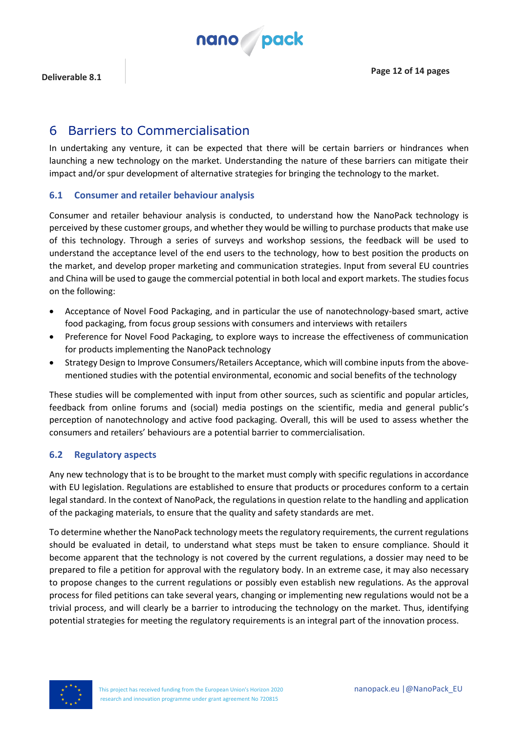

### <span id="page-11-0"></span>6 Barriers to Commercialisation

In undertaking any venture, it can be expected that there will be certain barriers or hindrances when launching a new technology on the market. Understanding the nature of these barriers can mitigate their impact and/or spur development of alternative strategies for bringing the technology to the market.

#### <span id="page-11-1"></span>**6.1 Consumer and retailer behaviour analysis**

Consumer and retailer behaviour analysis is conducted, to understand how the NanoPack technology is perceived by these customer groups, and whether they would be willing to purchase products that make use of this technology. Through a series of surveys and workshop sessions, the feedback will be used to understand the acceptance level of the end users to the technology, how to best position the products on the market, and develop proper marketing and communication strategies. Input from several EU countries and China will be used to gauge the commercial potential in both local and export markets. The studies focus on the following:

- Acceptance of Novel Food Packaging, and in particular the use of nanotechnology-based smart, active food packaging, from focus group sessions with consumers and interviews with retailers
- Preference for Novel Food Packaging, to explore ways to increase the effectiveness of communication for products implementing the NanoPack technology
- Strategy Design to Improve Consumers/Retailers Acceptance, which will combine inputs from the abovementioned studies with the potential environmental, economic and social benefits of the technology

These studies will be complemented with input from other sources, such as scientific and popular articles, feedback from online forums and (social) media postings on the scientific, media and general public's perception of nanotechnology and active food packaging. Overall, this will be used to assess whether the consumers and retailers' behaviours are a potential barrier to commercialisation.

#### <span id="page-11-2"></span>**6.2 Regulatory aspects**

Any new technology that is to be brought to the market must comply with specific regulations in accordance with EU legislation. Regulations are established to ensure that products or procedures conform to a certain legal standard. In the context of NanoPack, the regulations in question relate to the handling and application of the packaging materials, to ensure that the quality and safety standards are met.

To determine whether the NanoPack technology meets the regulatory requirements, the current regulations should be evaluated in detail, to understand what steps must be taken to ensure compliance. Should it become apparent that the technology is not covered by the current regulations, a dossier may need to be prepared to file a petition for approval with the regulatory body. In an extreme case, it may also necessary to propose changes to the current regulations or possibly even establish new regulations. As the approval process for filed petitions can take several years, changing or implementing new regulations would not be a trivial process, and will clearly be a barrier to introducing the technology on the market. Thus, identifying potential strategies for meeting the regulatory requirements is an integral part of the innovation process.

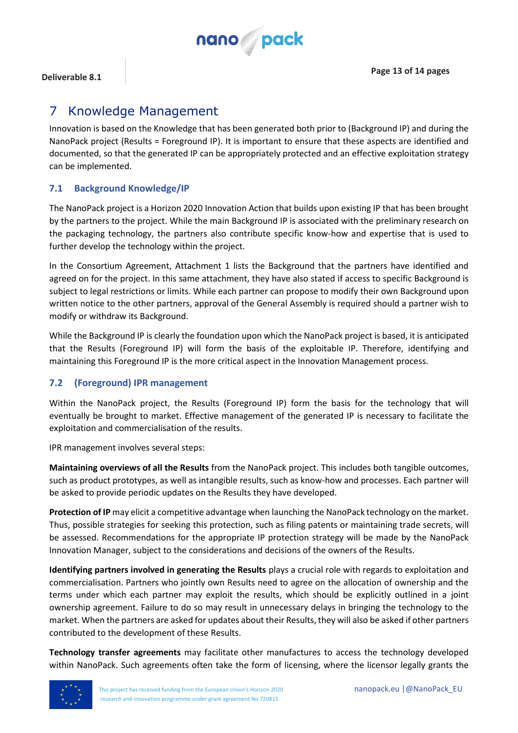

### <span id="page-12-0"></span>7 Knowledge Management

Innovation is based on the Knowledge that has been generated both prior to (Background IP) and during the NanoPack project (Results = Foreground IP). It is important to ensure that these aspects are identified and documented, so that the generated IP can be appropriately protected and an effective exploitation strategy can be implemented.

#### <span id="page-12-1"></span>**7.1 Background Knowledge/IP**

The NanoPack project is a Horizon 2020 Innovation Action that builds upon existing IP that has been brought by the partners to the project. While the main Background IP is associated with the preliminary research on the packaging technology, the partners also contribute specific know-how and expertise that is used to further develop the technology within the project.

In the Consortium Agreement, Attachment 1 lists the Background that the partners have identified and agreed on for the project. In this same attachment, they have also stated if access to specific Background is subject to legal restrictions or limits. While each partner can propose to modify their own Background upon written notice to the other partners, approval of the General Assembly is required should a partner wish to modify or withdraw its Background.

While the Background IP is clearly the foundation upon which the NanoPack project is based, it is anticipated that the Results (Foreground IP) will form the basis of the exploitable IP. Therefore, identifying and maintaining this Foreground IP is the more critical aspect in the Innovation Management process.

#### <span id="page-12-2"></span>**7.2 (Foreground) IPR management**

Within the NanoPack project, the Results (Foreground IP) form the basis for the technology that will eventually be brought to market. Effective management of the generated IP is necessary to facilitate the exploitation and commercialisation of the results.

IPR management involves several steps:

**Maintaining overviews of all the Results** from the NanoPack project. This includes both tangible outcomes, such as product prototypes, as well as intangible results, such as know-how and processes. Each partner will be asked to provide periodic updates on the Results they have developed.

**Protection of IP** may elicit a competitive advantage when launching the NanoPack technology on the market. Thus, possible strategies for seeking this protection, such as filing patents or maintaining trade secrets, will be assessed. Recommendations for the appropriate IP protection strategy will be made by the NanoPack Innovation Manager, subject to the considerations and decisions of the owners of the Results.

**Identifying partners involved in generating the Results** plays a crucial role with regards to exploitation and commercialisation. Partners who jointly own Results need to agree on the allocation of ownership and the terms under which each partner may exploit the results, which should be explicitly outlined in a joint ownership agreement. Failure to do so may result in unnecessary delays in bringing the technology to the market. When the partners are asked for updates about their Results, they will also be asked if other partners contributed to the development of these Results.

**Technology transfer agreements** may facilitate other manufactures to access the technology developed within NanoPack. Such agreements often take the form of licensing, where the licensor legally grants the